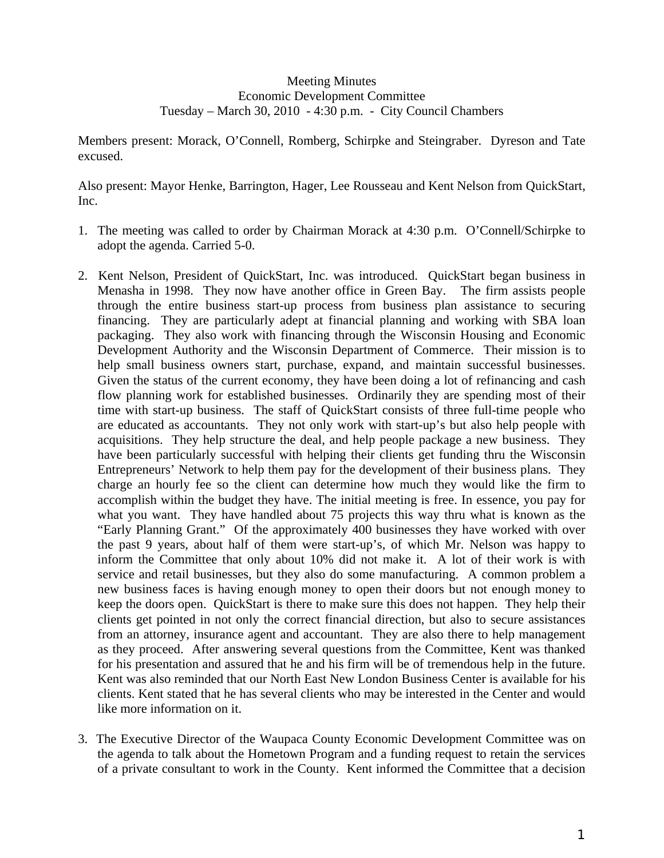## Meeting Minutes Economic Development Committee Tuesday – March 30, 2010 - 4:30 p.m. - City Council Chambers

Members present: Morack, O'Connell, Romberg, Schirpke and Steingraber. Dyreson and Tate excused.

Also present: Mayor Henke, Barrington, Hager, Lee Rousseau and Kent Nelson from QuickStart, Inc.

- 1. The meeting was called to order by Chairman Morack at 4:30 p.m. O'Connell/Schirpke to adopt the agenda. Carried 5-0.
- 2. Kent Nelson, President of QuickStart, Inc. was introduced. QuickStart began business in Menasha in 1998. They now have another office in Green Bay. The firm assists people through the entire business start-up process from business plan assistance to securing financing. They are particularly adept at financial planning and working with SBA loan packaging. They also work with financing through the Wisconsin Housing and Economic Development Authority and the Wisconsin Department of Commerce. Their mission is to help small business owners start, purchase, expand, and maintain successful businesses. Given the status of the current economy, they have been doing a lot of refinancing and cash flow planning work for established businesses. Ordinarily they are spending most of their time with start-up business. The staff of QuickStart consists of three full-time people who are educated as accountants. They not only work with start-up's but also help people with acquisitions. They help structure the deal, and help people package a new business. They have been particularly successful with helping their clients get funding thru the Wisconsin Entrepreneurs' Network to help them pay for the development of their business plans. They charge an hourly fee so the client can determine how much they would like the firm to accomplish within the budget they have. The initial meeting is free. In essence, you pay for what you want. They have handled about 75 projects this way thru what is known as the "Early Planning Grant." Of the approximately 400 businesses they have worked with over the past 9 years, about half of them were start-up's, of which Mr. Nelson was happy to inform the Committee that only about 10% did not make it. A lot of their work is with service and retail businesses, but they also do some manufacturing. A common problem a new business faces is having enough money to open their doors but not enough money to keep the doors open. QuickStart is there to make sure this does not happen. They help their clients get pointed in not only the correct financial direction, but also to secure assistances from an attorney, insurance agent and accountant. They are also there to help management as they proceed. After answering several questions from the Committee, Kent was thanked for his presentation and assured that he and his firm will be of tremendous help in the future. Kent was also reminded that our North East New London Business Center is available for his clients. Kent stated that he has several clients who may be interested in the Center and would like more information on it.
- 3. The Executive Director of the Waupaca County Economic Development Committee was on the agenda to talk about the Hometown Program and a funding request to retain the services of a private consultant to work in the County. Kent informed the Committee that a decision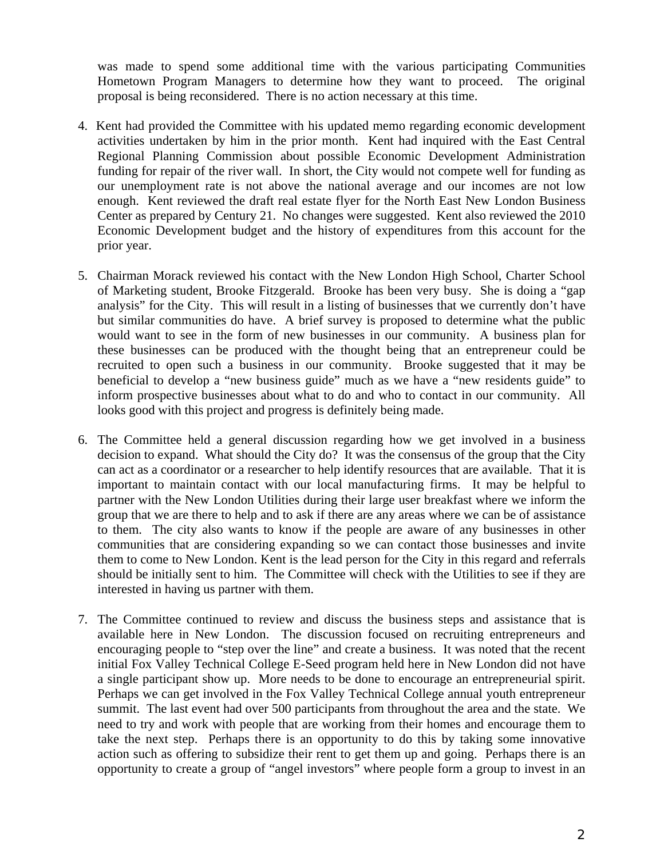was made to spend some additional time with the various participating Communities Hometown Program Managers to determine how they want to proceed. The original proposal is being reconsidered. There is no action necessary at this time.

- 4. Kent had provided the Committee with his updated memo regarding economic development activities undertaken by him in the prior month. Kent had inquired with the East Central Regional Planning Commission about possible Economic Development Administration funding for repair of the river wall. In short, the City would not compete well for funding as our unemployment rate is not above the national average and our incomes are not low enough. Kent reviewed the draft real estate flyer for the North East New London Business Center as prepared by Century 21. No changes were suggested. Kent also reviewed the 2010 Economic Development budget and the history of expenditures from this account for the prior year.
- 5. Chairman Morack reviewed his contact with the New London High School, Charter School of Marketing student, Brooke Fitzgerald. Brooke has been very busy. She is doing a "gap analysis" for the City. This will result in a listing of businesses that we currently don't have but similar communities do have. A brief survey is proposed to determine what the public would want to see in the form of new businesses in our community. A business plan for these businesses can be produced with the thought being that an entrepreneur could be recruited to open such a business in our community. Brooke suggested that it may be beneficial to develop a "new business guide" much as we have a "new residents guide" to inform prospective businesses about what to do and who to contact in our community. All looks good with this project and progress is definitely being made.
- 6. The Committee held a general discussion regarding how we get involved in a business decision to expand. What should the City do? It was the consensus of the group that the City can act as a coordinator or a researcher to help identify resources that are available. That it is important to maintain contact with our local manufacturing firms. It may be helpful to partner with the New London Utilities during their large user breakfast where we inform the group that we are there to help and to ask if there are any areas where we can be of assistance to them. The city also wants to know if the people are aware of any businesses in other communities that are considering expanding so we can contact those businesses and invite them to come to New London. Kent is the lead person for the City in this regard and referrals should be initially sent to him. The Committee will check with the Utilities to see if they are interested in having us partner with them.
- 7. The Committee continued to review and discuss the business steps and assistance that is available here in New London. The discussion focused on recruiting entrepreneurs and encouraging people to "step over the line" and create a business. It was noted that the recent initial Fox Valley Technical College E-Seed program held here in New London did not have a single participant show up. More needs to be done to encourage an entrepreneurial spirit. Perhaps we can get involved in the Fox Valley Technical College annual youth entrepreneur summit. The last event had over 500 participants from throughout the area and the state. We need to try and work with people that are working from their homes and encourage them to take the next step. Perhaps there is an opportunity to do this by taking some innovative action such as offering to subsidize their rent to get them up and going. Perhaps there is an opportunity to create a group of "angel investors" where people form a group to invest in an